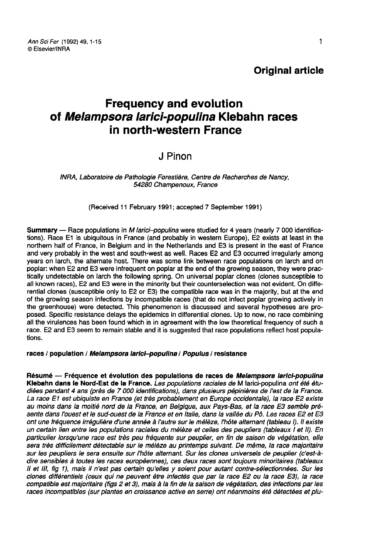# Frequency and evolution of Melampsora larici-populina Klebahn races in north-western France

# J Pinon

INRA, Laboratoire de Pathologie Forestière, Centre de Recherches de Nancy, 54280 Champenoux, France

(Received 11 February 1991; accepted 7 September 1991)

Summary — Race populations in M larici-populina were studied for 4 years (nearly 7 000 identifications). Race E1 is ubiquitous in France (and probably in western Europe), E2 exists at least in the northern half of France, in Belgium and in the Netherlands and E3 is present in the east of France and very probably in the west and south-west as well. Races E2 and E3 occurred irregularly among years on larch, the alternate host. There was some link between race populations on larch and on poplar: when E2 and E3 were infrequent on poplar at the end of the growing season, they were practically undetectable on larch the following spring. On universal poplar clones (clones susceptible to all known races), E2 and E3 were in the minority but their counterselection was not evident. On differential clones (susceptible only to E2 or E3) the compatible race was in the majority, but at the end of the growing season infections by incompatible races (that do not infect poplar growing actively in the greenhouse) were detected. This phenomenon is discussed and several hypotheses are proposed. Specific resistance delays the epidemics in differential clones. Up to now, no race combining all the virulences has been found which is in agreement with the low theoretical frequency of such a race. E2 and E3 seem to remain stable and it is suggested that race populations reflect host populations.

#### races / population / Melampsora larici-populina / Populus / resistance

Résumé - Fréquence et évolution des populations de races de Melampsora larici-populina Klebahn dans le Nord-Est de la France. Les populations raciales de M larici-populina ont été étudiées pendant 4 ans (près de 7 000 identifications), dans plusieurs pépinières de l'est de la France. La race E1 est ubiquiste en France (et très probablement en Europe occidentale), la race E2 existe<br>au moins dans la moitié nord de la France, en Belgique, aux Pays-Bas, et la race E3 semble présente dans l'ouest et le sud-ouest de la France et en Italie, dans la vallée du Pô. Les races E2 et E3 ont une fréquence irrégulière d'une année à l'autre sur le mélèze, l'hôte alternant (tableau I). Il existe un certain lien entre les populations raciales du mélèze et celles des peupliers (tableaux I et II). En particulier lorsqu'une race est très peu fréquente sur peuplier, en fin de saison de végétation, elle sera très difficilement détectable sur le mélèze au printemps suivant. De même, la race majoritaire sur les peupliers le sera ensuite sur l'hôte alternant. Sur les clones universels de peuplier (c'est-àdire sensibles à toutes les races européennes), ces deux races sont toujours minoritaires (tableaux II et III, fig 1), mais il n'est pas certain qu'elles y soient pour autant contre-sélectionnées. Sur les clones différentiels (ceux qui ne peuvent être infectés que par la race E2 ou la race E3), la race compatible est majoritaire (figs 2 et 3), mais à la fin de la saison de végétation, des infections par les races incompatibles (sur plantes en croissance active en serre) ont néanmoins été détectées et plu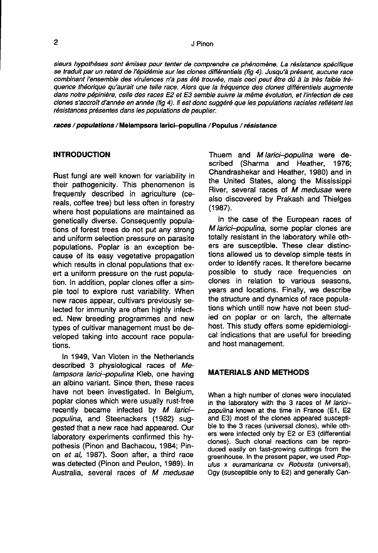sieurs hypothèses sont émises pour tenter de comprendre ce phénomène. La résistance spécifique<br>se traduit par un retard de l'épidémie sur les clones différentiels (fig 4). Jusqu'à présent, aucune race combinant l'ensemble des virulences n'a pas été trouvée, mais ceci peut être dû à la très faible fréquence théorique qu'aurait une telle race. Alors que la fréquence des clones différentiels augmente dans notre pépinière, celle des races E2 et E3 semble suivre la même évolution, et l'infection de ces clones s'accroît d'année en année (fig 4). Il est donc suggéré que les populations raciales reflètent les résistances présentes dans les populations de peuplier.

races / populations / Melampsora larici-populina / Populus / résistance

# INTRODUCTION

Rust fungi are well known for variability in their pathogenicity. This phenomenon is frequently described in agriculture (cereals, coffee tree) but less often in forestry where host populations are maintained as genetically diverse. Consequently populations of forest trees do not put any strong and uniform selection pressure on parasite populations. Poplar is an exception because of its easy vegetative propagation which results in clonal populations that exert a uniform pressure on the rust population. In addition, poplar clones offer a simple tool to explore rust variability. When new races appear, cultivars previously selected for immunity are often highly infected. New breeding programmes and new types of cultivar management must be developed taking into account race populations.

In 1949, Van Vloten in the Netherlands described 3 physiological races of Melampsora larici-populina Kleb, one having an albino variant. Since then, these races have not been investigated. In Belgium, poplar clones which were usually rust-free recently became infected by M laricipopulina, and Steenackers (1982) suggested that a new race had appeared. Our laboratory experiments confirmed this hypothesis (Pinon and Bachacou, 1984; Pinon et al, 1987). Soon after, a third race was detected (Pinon and Peulon, 1989). In Australia, several races of M medusae

Thuem and *M larici--populina* were de-<br>scribed (Sharma and Heather. 1976: scribed (Sharma and Heather, Chandrashekar and Heather, 1980) and in the United States, along the Mississippi River, several races of M medusae were also discovered by Prakash and Thielges (1987).

In the case of the European races of M larici-populina, some poplar clones are totally resistant in the laboratory while others are susceptible. These clear distinctions allowed us to develop simple tests in order to identify races. It therefore became possible to study race frequencies on clones in relation to various seasons, years and locations. Finally, we describe the structure and dynamics of race populations which untill now have not been studied on poplar or on larch, the alternate host. This study offers some epidemiological indications that are useful for breeding and host management.

# MATERIALS AND METHODS

When a high number of clones were inoculated in the laboratory with the 3 races of M laricipopulina known at the time in France (E1, E2 and E3) most of the clones appeared susceptible to the 3 races (universal clones), while others were infected only by E2 or E3 (differential clones). Such clonal reactions can be reproduced easily on fast-growing cuttings from the greenhouse. In the present paper, we used Populus x euramaricana cv Robusta (universal), Ogy (susceptible only to E2) and generally Can-

 $\overline{a}$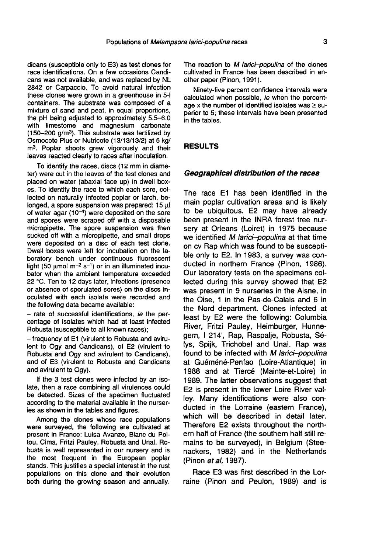dicans (susceptible only to E3) as test clones for race identifications. On a few occasions Candicans was not available, and was replaced by NL 2842 or Carpaccio. To avoid natural infection these clones were grown in a greenhouse in 5-I containers. The substrate was composed of a mixture of sand and peat, in equal proportions, the pH being adjusted to approximately 5.5-6.0 with limestome and magnesium carbonate the pH being adjusted to approximately 5.5–6.0<br>with limestome and magnesium carbonate<br>(150–200 g/m<sup>3</sup>). This substrate was fertilized by<br>Osmocote Plus or Nutricote (13/13/13/2) at 5 kg/ Osmocote Plus or Nutricote (13/13/13/2) at 5 kg/ m3. Poplar shoots grew vigorously and their leaves reacted clearly to races after inoculation.

To identify the races, discs (12 mm in diameter) were cut in the leaves of the test clones and placed on water (abaxial face up) in dwell boxes. To identify the race to which each sore, collected on naturally infected poplar or larch, belonged, a spore suspension was prepared: 15 μl of water agar  $(10^{-4})$  were deposited on the sore and spores were scraped off with a disposable micropipette. The spore suspension was then sucked off with a micropipette, and small drops were deposited on a disc of each test clone. Dwell boxes were left for incubation on the laboratory bench under continuous fluorescent light (50  $\mu$ mol m<sup>-2</sup> s<sup>-1</sup>) or in an illuminated incubator when the ambient temperature exceeded 22 °C. Ten to 12 days later, infections (presence or absence of sporulated sores) on the discs inoculated with each isolate were recorded and the following data became available:

- rate of successful identifications, ie the percentage of isolates which had at least infected Robusta (susceptible to all known races);

- frequency of E1 (virulent to Robusta and avirulent to Ogy and Candicans), of E2 (virulent to Robusta and Ogy and avirulent to Candicans), and of E3 (virulent to Robusta and Candicans and avirulent to Ogy).

If the 3 test clones were infected by an isolate, then a race combining all virulences could be detected. Sizes of the specimen fluctuated according to the material available in the nurseries as shown in the tables and figures.

Among the clones whose race populations were surveyed, the following are cultivated at present in France: Luisa Avanzo, Blanc du Poitou, Cima, Fritzi Pauley, Robusta and Unal. Robusta is well represented in our nursery and is the most frequent in the European poplar stands. This justifies a special interest in the rust populations on this clone and their evolution both during the growing season and annually.

The reaction to M larici-populina of the clones cultivated in France has been described in another paper (Pinon, 1991).

Ninety-five percent confidence intervals were calculated when possible, ie when the percentage x the number of identified isolates was  $\ge$  superior to 5; these intervals have been presented in the tables.

# RESULTS

#### Geographical distribution of the races

The race E1 has been identified in the main poplar cultivation areas and is likely to be ubiquitous. E2 may have already been present in the INRA forest tree nursery at Orleans (Loiret) in 1975 because we identified M larici-populina at that time on cv Rap which was found to be susceptible only to E2. In 1983, a survey was conducted in northern France (Pinon, 1986). Our laboratory tests on the specimens collected during this survey showed that E2 was present in 9 nurseries in the Aisne, in the Oise, 1 in the Pas-de-Calais and 6 in the Nord department. Clones infected at least by E2 were the following: Columbia River, Fritzi Pauley, Heimburger, Hunnegem, I 214', Rap, Raspalje, Robusta, Sélys, Spijk, Trichobel and Unal. Rap was found to be infected with M larici-populina at Guéméné-Penfao (Loire-Atlantique) in 1988 and at Tiercé (Mainte-et-Loire) in 1989. The latter observations suggest that E2 is present in the lower Loire River valley. Many identifications were also conducted in the Lorraine (eastern France), which will be described in detail later. Therefore E2 exists throughout the northern half of France (the southern half still remains to be surveyed), in Belgium (Steenackers, 1982) and in the Netherlands (Pinon et al, 1987).

Race E3 was first described in the Lorraine (Pinon and Peulon, 1989) and is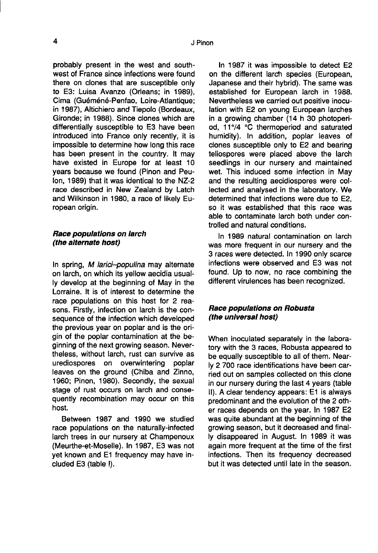probably present in the west and southwest of France since infections were found there on clones that are susceptible only to E3: Luisa Avanzo (Orleans; in 1989), Cima (Guéméné-Penfao, Loire-Atlantique; in 1987), Altichiero and Tiepolo (Bordeaux, Gironde; in 1988). Since clones which are differentially susceptible to E3 have been introduced into France only recently, it is impossible to determine how long this race has been present in the country. It may have existed in Europe for at least 10 years because we found (Pinon and Peulon, 1989) that it was identical to the NZ-2 race described in New Zealand by Latch and Wilkinson in 1980, a race of likely European origin.

#### Race populations on larch (the alternate host)

In spring, M larici-populina may alternate on larch, on which its yellow aecidia usually develop at the beginning of May in the Lorraine. It is of interest to determine the race populations on this host for 2 reasons. Firstly, infection on larch is the consequence of the infection which developed the previous year on poplar and is the origin of the poplar contamination at the beginning of the next growing season. Nevertheless, without larch, rust can survive as urediospores on overwintering poplar leaves on the ground (Chiba and Zinno, 1960; Pinon, 1980). Secondly, the sexual stage of rust occurs on larch and consequently recombination may occur on this host.

Between 1987 and 1990 we studied race populations on the naturally-infected larch trees in our nursery at Champenoux (Meurthe-et-Moselle). In 1987, E3 was not yet known and E1 frequency may have included E3 (table I).

In 1987 it was impossible to detect E2 on the different larch species (European, Japanese and their hybrid). The same was established for European larch in 1988. Nevertheless we carried out positive inoculation with E2 on young European larches in a growing chamber (14 h 30 photoperiod, 11°/4 °C thermoperiod and saturated humidity). In addition, poplar leaves of clones susceptible only to E2 and bearing teliospores were placed above the larch seedlings in our nursery and maintained wet. This induced some infection in May and the resulting aecidiospores were collected and analysed in the laboratory. We determined that infections were due to E2, so it was established that this race was able to contaminate larch both under controlled and natural conditions.

In 1989 natural contamination on larch was more frequent in our nursery and the 3 races were detected. In 1990 only scarce infections were observed and E3 was not found. Up to now, no race combining the different virulences has been recognized.

# Race populations on Robusta (the universal host)

When inoculated separately in the laboratory with the 3 races, Robusta appeared to be equally susceptible to all of them. Nearly 2 700 race identifications have been carried out on samples collected on this clone in our nursery during the last 4 years (table II). A clear tendency appears: E1 is always predominant and the evolution of the 2 other races depends on the year. In 1987 E2 was quite abundant at the beginning of the growing season, but it decreased and finally disappeared in August. In 1989 it was again more frequent at the time of the first infections. Then its frequency decreased but it was detected until late in the season.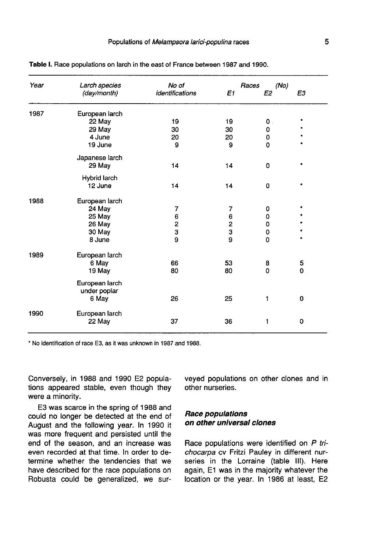| Year | Larch species<br>(day/month)   | No of<br>identifications | E1 | Races<br>(No)<br>E2 | E3        |
|------|--------------------------------|--------------------------|----|---------------------|-----------|
| 1987 | European larch                 |                          |    |                     |           |
|      | 22 May                         | 19                       | 19 | 0                   |           |
|      | 29 May                         | 30                       | 30 | 0                   |           |
|      | 4 June                         | 20                       | 20 | 0                   |           |
|      | 19 June                        | 9                        | 9  | $\Omega$            |           |
|      | Japanese larch                 |                          |    |                     |           |
|      | 29 May                         | 14                       | 14 | 0                   |           |
|      | Hybrid larch                   |                          |    |                     |           |
|      | 12 June                        | 14                       | 14 | 0                   | ٠         |
| 1988 | European larch                 |                          |    |                     |           |
|      | 24 May                         | 7                        | 7  | 0                   | $\bullet$ |
|      | 25 May                         | 6                        | 6  | 0                   |           |
|      | 26 May                         | 2                        | 2  | 0                   |           |
|      | 30 May                         | 3                        | 3  | 0                   |           |
|      | 8 June                         | 9                        | 9  | $\mathbf 0$         |           |
| 1989 | European larch                 |                          |    |                     |           |
|      | 6 May                          | 66                       | 53 | 8                   | 5         |
|      | 19 May                         | 80                       | 80 | 0                   | 0         |
|      |                                |                          |    |                     |           |
|      | European larch<br>under poplar |                          |    |                     |           |
|      | 6 May                          | 26                       | 25 | 1                   | 0         |
| 1990 | European larch                 |                          |    |                     |           |
|      | 22 May                         | 37                       | 36 | 1                   | 0         |
|      |                                |                          |    |                     |           |

Table I. Race populations on larch in the east of France between 1987 and 1990.

\* No identification of race E3, as it was unknown in 1987 and 1988.

Conversely, in 1988 and 1990 E2 populations appeared stable, even though they were a minority.

E3 was scarce in the spring of 1988 and could no longer be detected at the end of August and the following year. In 1990 it was more frequent and persisted until the end of the season, and an increase was even recorded at that time. In order to determine whether the tendencies that we have described for the race populations on Robusta could be generalized, we surveyed populations on other clones and in other nurseries.

# Race populations on other universal clones

Race populations were identified on P trichocarpa cv Fritzi Pauley in different nurseries in the Lorraine (table III). Here again, E1 was in the majority whatever the location or the year. In 1986 at least, E2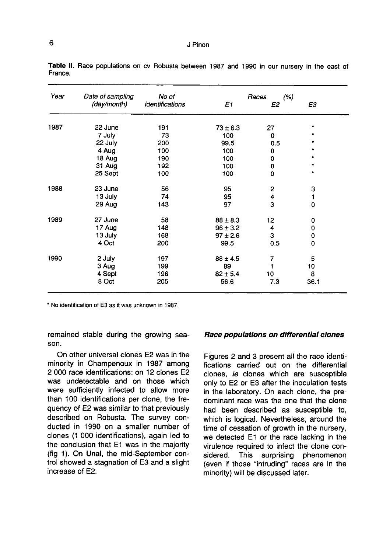| Year | Date of sampling | No of           | (%)<br>Races |                |      |
|------|------------------|-----------------|--------------|----------------|------|
|      | (day/month)      | identifications | E1           | Ε2             | EЗ   |
| 1987 | 22 June          | 191             | $73 \pm 6.3$ | 27             |      |
|      | 7 July           | 73              | 100          | 0              |      |
|      | 22 July          | 200             | 99.5         | 0.5            |      |
|      | 4 Aug            | 100             | 100          | 0              |      |
|      | 18 Aug           | 190             | 100          | 0              |      |
|      | 31 Aug           | 192             | 100          | 0              |      |
|      | 25 Sept          | 100             | 100          | 0              |      |
| 1988 | 23 June          | 56              | 95           | $\overline{2}$ | 3    |
|      | 13 July          | 74              | 95           | 4              | 1    |
|      | 29 Aug           | 143             | 97           | 3              | 0    |
| 1989 | 27 June          | 58              | $88 \pm 8.3$ | 12             | 0    |
|      | 17 Aug           | 148             | $96 \pm 3.2$ | 4              | 0    |
|      | 13 July          | 168             | $97 \pm 2.6$ | 3              | 0    |
|      | 4 Oct            | 200             | 99.5         | 0.5            | 0    |
| 1990 | 2 July           | 197             | $88 \pm 4.5$ | 7              | 5    |
|      | 3 Aug            | 199             | 89           |                | 10   |
|      | 4 Sept           | 196             | $82 \pm 5.4$ | 10             | 8    |
|      | 8 Oct            | 205             | 56.6         | 7.3            | 36.1 |

Table II. Race populations on cv Robusta between 1987 and 1990 in our nursery in the east of France.

\* No identification of E3 as it was unknown in 1987.

remained stable during the growing season.

On other universal clones E2 was in the minority in Champenoux in 1987 among 2 000 race identifications: on 12 clones E2 was undetectable and on those which were sufficiently infected to allow more than 100 identifications per clone, the frequency of E2 was similar to that previously described on Robusta. The survey conducted in 1990 on a smaller number of clones (1 000 identifications), again led to the conclusion that E1 was in the majority (fig 1). On Unal, the mid-September control showed a stagnation of E3 and a slight increase of E2.

#### Race populations on differential clones

Figures 2 and 3 present all the race identifications carried out on the differential clones, ie clones which are susceptible only to E2 or E3 after the inoculation tests in the laboratory. On each clone, the predominant race was the one that the clone had been described as susceptible to, which is logical. Nevertheless, around the time of cessation of growth in the nursery, we detected E1 or the race lacking in the virulence required to infect the clone considered. This surprising phenomenon (even if those "intruding" races are in the minority) will be discussed later.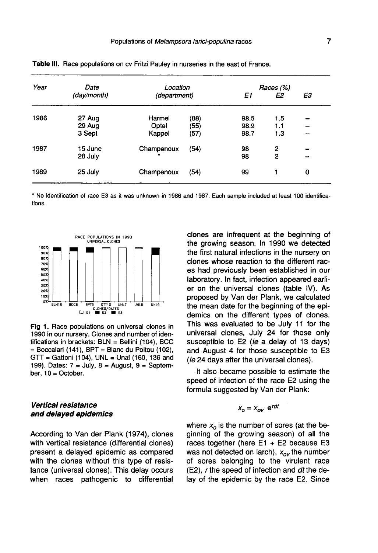| Year<br>1986 | Date        | Location     |      | Races (%) |     |    |
|--------------|-------------|--------------|------|-----------|-----|----|
|              | (day/month) | (department) |      | E1        | E2  | E3 |
|              | 27 Aug      | Harmel       | (88) | 98.5      | 1.5 |    |
|              | 29 Aug      | Optel        | (55) | 98.9      | 1.1 | -  |
|              | 3 Sept      | Kappel       | (57) | 98.7      | 1.3 | -  |
| 1987         | 15 June     | Champenoux   | (54) | 98        | 2   |    |
|              | 28 July     |              |      | 98        | 2   |    |
| 1989         | 25 July     | Champenoux   | (54) | 99        |     | 0  |

Table III. Race populations on cv Fritzi Pauley in nurseries in the east of France.

\* No identification of race E3 as it was unknown in 1986 and 1987. Each sample included at least 100 identifications.



Fig 1. Race populations on universal clones in 1990 in our nursery. Clones and number of identifications in brackets:  $BLN = Bellini$  (104), BCC  $=$  Boccalari (141), BPT  $=$  Blanc du Poitou (102), GTT = Gattoni (104), UNL = Unal (160, 136 and 199). Dates:  $7 =$  July,  $8 =$  August,  $9 =$  September, 10 = October.

# Vertical resistance and delayed epidemics

According to Van der Plank (1974), clones with vertical resistance (differential clones) present a delayed epidemic as compared with the clones without this type of resistance (universal clones). This delay occurs when races pathogenic to differential

clones are infrequent at the beginning of the growing season. In 1990 we detected the first natural infections in the nursery on clones whose reaction to the different races had previously been established in our laboratory. In fact, infection appeared earlier on the universal clones (table IV). As proposed by Van der Plank, we calculated the mean date for the beginning of the epidemics on the different types of clones. This was evaluated to be July 11 for the universal clones, July 24 for those only susceptible to E2 (ie a delay of 13 days) and August 4 for those susceptible to E3 (ie 24 days after the universal clones).

It also became possible to estimate the speed of infection of the race E2 using the formula suggested by Van der Plank:

$$
X_0 = X_{\alpha\nu}
$$
  $e^{rdt}$ 

where  $x<sub>o</sub>$  is the number of sores (at the beginning of the growing season) of all the races together (here  $E1 + E2$  because E3 was not detected on larch),  $x_{ov}$  the number of sores belonging to the virulent race (E2), r the speed of infection and dt the delay of the epidemic by the race E2. Since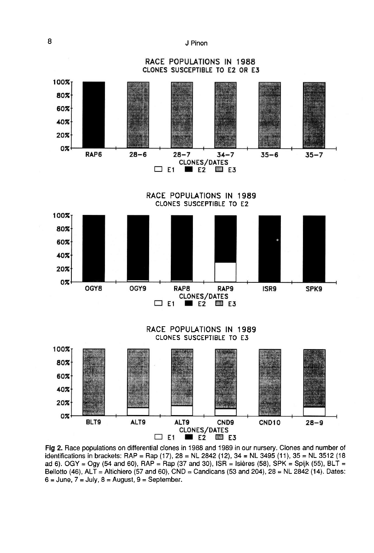J Pinon



Fig 2. Race populations on differential clones in 1988 and 1989 in our nursery. Clones and number of identifications in brackets: RAP = Rap (17), 28 = NL 2842 (12), 34 = NL 3495 (11), 35 = NL 3512 (18 ad 6). OGY = Ogy (54 and 60), RAP = Rap (37 and 30), ISR = Isières (58), SPK = Spijk (55), BLT = Bellotto (46), ALT = Altichiero (57 and 60), CND = Candicans (53 and 204), 28 = NL 2842 (14). Dates:  $6 = June$ ,  $7 = July$ ,  $8 = August$ ,  $9 = September$ .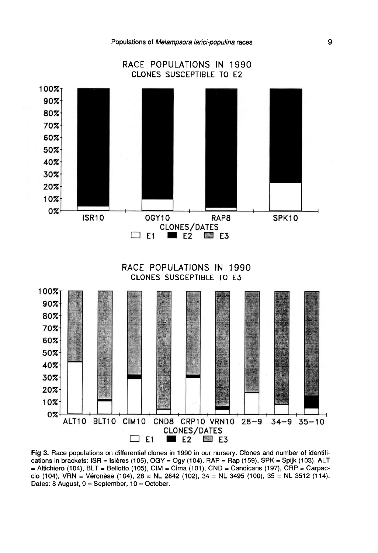

Fig 3. Race populations on differential clones in 1990 in our nursery. Clones and number of identifications in brackets: ISR = Isières (105), OGY = Ogy (104), RAP = Rap (159), SPK = Spijk (103). ALT = Altichiero (104), BLT = Bellotto (105), CIM = Cima (101), CND = Candicans (197), CRP = Carpaccio (104), VRN = Véronèse (104), 28 = NL 2842 (102), 34 = NL 3495 (100), 35 = NL 3512 (114). Dates: 8 August,  $9 = September$ ,  $10 = October$ .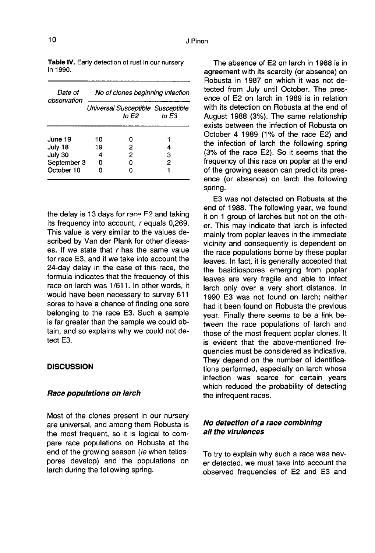| Date of<br>observation | No of clones beginning infection           |   |       |  |  |
|------------------------|--------------------------------------------|---|-------|--|--|
|                        | Universal Susceptible Susceptible<br>to E2 |   | to E3 |  |  |
| June 19                | 10                                         | n |       |  |  |
| July 18                | 19                                         | 2 |       |  |  |
| July 30                | 4                                          | 2 | з     |  |  |
| September 3            | o                                          | ი | 2     |  |  |
| October 10             |                                            |   |       |  |  |

Table IV. Early detection of rust in our nursery in 1990.

the delay is 13 days for race F2 and taking its frequency into account,  $r$  equals 0,269. This value is very similar to the values described by Van der Plank for other diseases. If we state that  $r$  has the same value for race E3, and if we take into account the 24-day delay in the case of this race, the formula indicates that the frequency of this race on larch was 1/611. In other words, it would have been necessary to survey 611 sores to have a chance of finding one sore belonging to the race E3. Such a sample is far greater than the sample we could obtain, and so explains why we could not detect E3.

#### **DISCUSSION**

#### Race populations on Iarch

Most of the clones present in our nursery are universal, and among them Robusta is the most frequent, so it is logical to compare race populations on Robusta at the end of the growing season (ie when teliospores develop) and the populations on larch during the following spring.

The absence of E2 on larch in 1988 is in agreement with its scarcity (or absence) on Robusta in 1987 on which it was not detected from July until October. The presence of E2 on larch in 1989 is in relation with its detection on Robusta at the end of August 1988 (3%). The same relationship exists between the infection of Robusta on October 4 1989 (1% of the race E2) and the infection of larch the following spring (3% of the race E2). So it seems that the frequency of this race on poplar at the end of the growing season can predict its presence (or absence) on larch the following spring.

E3 was not detected on Robusta at the end of 1988. The following year, we found it on 1 group of larches but not on the other. This may indicate that larch is infected mainly from poplar leaves in the immediate vicinity and consequently is dependent on the race populations borne by these poplar leaves. In fact, it is generally accepted that the basidiospores emerging from poplar leaves are very fragile and able to infect larch only over a very short distance. In 1990 E3 was not found on larch; neither had it been found on Robusta the previous year. Finally there seems to be a link between the race populations of larch and those of the most frequent poplar clones. It is evident that the above-mentioned frequencies must be considered as indicative. They depend on the number of identifications performed, especially on larch whose infection was scarce for certain years which reduced the probability of detecting the infrequent races.

# No detection of a race combining all the virulences

To try to explain why such a race was never detected, we must take into account the observed frequencies of E2 and E3 and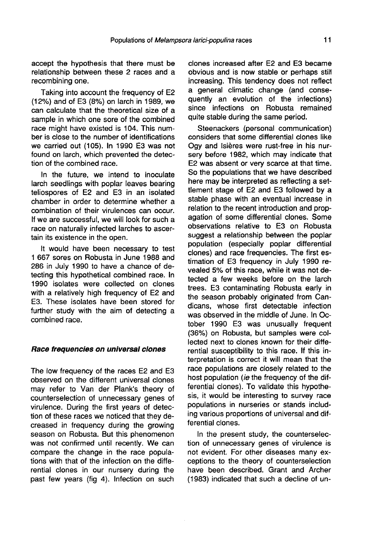accept the hypothesis that there must be relationship between these 2 races and a recombining one.

Taking into account the frequency of E2 (12%) and of E3 (8%) on larch in 1989, we can calculate that the theoretical size of a sample in which one sore of the combined race might have existed is 104. This number is close to the number of identifications we carried out (105). In 1990 E3 was not found on larch, which prevented the detection of the combined race.

In the future, we intend to inoculate larch seedlings with poplar leaves bearing teliospores of E2 and E3 in an isolated chamber in order to determine whether a combination of their virulences can occur. If we are successful, we will look for such a race on naturally infected larches to ascertain its existence in the open.

It would have been necessary to test 1 667 sores on Robusta in June 1988 and 286 in July 1990 to have a chance of detecting this hypothetical combined race. In 1990 isolates were collected on clones with a relatively high frequency of E2 and E3. These isolates have been stored for further study with the aim of detecting a combined race.

#### Race frequencies on universal clones

The low frequency of the races E2 and E3 observed on the different universal clones may refer to Van der Plank's theory of counterselection of unnecessary genes of virulence. During the first years of detection of these races we noticed that they decreased in frequency during the growing<br>season on Robusta. But this phenomenon was not confirmed until recently. We can compare the change in the race populations with that of the infection on the differential clones in our nursery during the past few years (fig 4). Infection on such clones increased after E2 and E3 became obvious and is now stable or perhaps still increasing. This tendency does not reflect a general climatic change (and consequently an evolution of the infections) since infections on Robusta remained quite stable during the same period.

Steenackers (personal communication) considers that some differential clones like Ogy and Isières were rust-free in his nursery before 1982, which may indicate that E2 was absent or very scarce at that time. So the populations that we have described here may be interpreted as reflecting a settlement stage of E2 and E3 followed by a stable phase with an eventual increase in relation to the recent introduction and propagation of some differential clones. Some observations relative to E3 on Robusta suggest a relationship between the poplar population (especially poplar differential clones) and race frequencies. The first estimation of E3 frequency in July 1990 revealed 5% of this race, while it was not detected a few weeks before on the larch trees. E3 contaminating Robusta early in the season probably originated from Candicans, whose first detectable infection was observed in the middle of June. In October 1990 E3 was unusually frequent (36%) on Robusta, but samples were collected next to clones known for their differential susceptibility to this race. If this interpretation is correct it will mean that the race populations are closely related to the host population (ie the frequency of the differential clones). To validate this hypothesis, it would be interesting to survey race populations in nurseries or stands including various proportions of universal and differential clones.

In the present study, the counterselection of unnecessary genes of virulence is not evident. For other diseases many exceptions to the theory of counterselection have been described. Grant and Archer (1983) indicated that such a decline of un-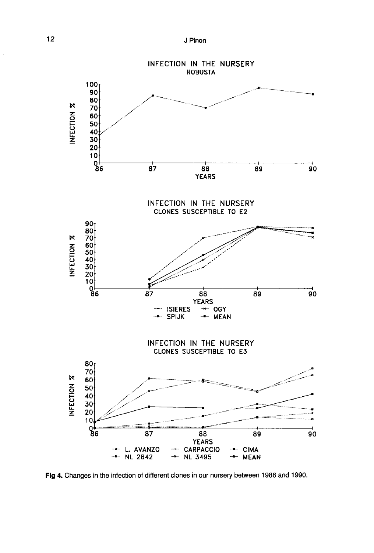

Fig 4. Changes in the infection of different clones in our nursery between 1986 and 1990.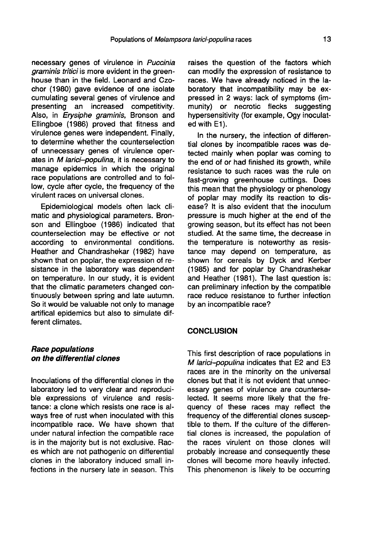necessary genes of virulence in Puccinia graminis tritici is more evident in the greenhouse than in the field. Leonard and Czochor (1980) gave evidence of one isolate cumulating several genes of virulence and presenting an increased competitivity. Also, in *Erysiphe graminis*, Bronson and Ellingboe (1986) proved that fitness and virulence genes were independent. Finally, to determine whether the counterselection of unnecessary genes of virulence operates in M larici-populina, it is necessary to manage epidemics in which the original race populations are controlled and to follow, cycle after cycle, the frequency of the virulent races on universal clones.

Epidemiological models often lack climatic and physiological parameters. Bronson and Ellingboe (1986) indicated that counterselection may be effective or not according to environmental conditions. Heather and Chandrashekar (1982) have shown that on poplar, the expression of resistance in the laboratory was dependent on temperature. In our study, it is evident that the climatic parameters changed continuously between spring and late autumn. So it would be valuable not only to manage artifical epidemics but also to simulate different climates.

# Race populations on the differential clones

Inoculations of the differential clones in the laboratory led to very clear and reproducible expressions of virulence and resistance: a clone which resists one race is always free of rust when inoculated with this incompatible race. We have shown that under natural infection the compatible race is in the majority but is not exclusive. Races which are not pathogenic on differential clones in the laboratory induced small infections in the nursery late in season. This

raises the question of the factors which can modify the expression of resistance to races. We have already noticed in the laboratory that incompatibility may be expressed in 2 ways: lack of symptoms (immunity) or necrotic flecks suggesting hypersensitivity (for example, Ogy inoculated with E1).

In the nursery, the infection of differential clones by incompatible races was detected mainly when poplar was coming to the end of or had finished its growth, while resistance to such races was the rule on fast-growing greenhouse cuttings. Does this mean that the physiology or phenology of poplar may modify its reaction to disease? It is also evident that the inoculum pressure is much higher at the end of the growing season, but its effect has not been studied. At the same time, the decrease in the temperature is noteworthy as resistance may depend on temperature, as shown for cereals by Dyck and Kerber (1985) and for poplar by Chandrashekar and Heather (1981). The last question is: can preliminary infection by the compatible race reduce resistance to further infection by an incompatible race?

# **CONCLUSION**

This first description of race populations in M larici-populina indicates that E2 and E3 races are in the minority on the universal clones but that it is not evident that unnecessary genes of virulence are counterselected. It seems more likely that the frequency of these races may reflect the frequency of the differential clones susceptible to them. If the culture of the differential clones is increased, the population of the races virulent on those clones will probably increase and consequently these clones will become more heavily infected. This phenomenon is likely to be occurring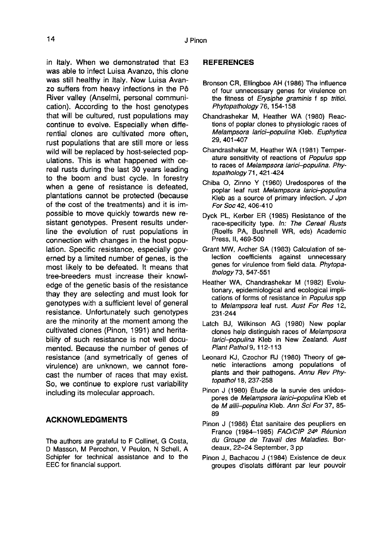in Italy. When we demonstrated that E3 was able to infect Luisa Avanzo, this clone was still healthy in Italy. Now Luisa Avanzo suffers from heavy infections in the Pô River valley (Anselmi, personal communication). According to the host genotypes that will be cultured, rust populations may continue to evolve. Especially when differential clones are cultivated more often, rust populations that are still more or less wild will be replaced by host-selected populations. This is what happened with cereal rusts during the last 30 years leading to the boom and bust cycle. In forestry when a gene of resistance is defeated, plantations cannot be protected (because of the cost of the treatments) and it is impossible to move quickly towards new resistant genotypes. Present results underline the evolution of rust populations in connection with changes in the host population. Specific resistance, especially governed by a limited number of genes, is the most likely to be defeated. It means that tree-breeders must increase their knowledge of the genetic basis of the resistance thay they are selecting and must look for genotypes with a sufficient level of general resistance. Unfortunately such genotypes are the minority at the moment among the cultivated clones (Pinon, 1991) and heritability of such resistance is not well documented. Because the number of genes of resistance (and symetrically of genes of virulence) are unknown, we cannot forecast the number of races that may exist. So, we continue to explore rust variability including its molecular approach.

# ACKNOWLEDGMENTS

The authors are grateful to F Collinet, G Costa, D Masson, M Perochon, V Peulon, N Schell, A Schipfer for technical assistance and to the EEC for financial support.

# REFERENCES

- Bronson CR, Ellingboe AH (1986) The influence of four unnecessary genes for virulence on the fitness of Erysiphe graminis f sp tritici. Phytopathology 76, 154-158
- Chandrashekar M, Heather WA (1980) Reactions of poplar clones to physiologic races of Melampsora larici-populina Kleb. Euphytica 29, 401-407
- Chandrashekar M, Heather WA (1981) Temper ature sensitivity of reactions of Populus spp to races of Melampsora larici-populina. Phytopathology 71, 421-424
- Chiba O, Zinno Y (1960) Uredospores of the poplar leaf rust Melampsora larici-populina Kleb as a source of primary infection. J Jpn<br>For Soc 42, 406-410
- Dyck PL, Kerber ER (1985) Resistance of the race-specificity type. In: The Cereal Rusts (Roelfs PA, Bushnell WR, eds) Academic Press, II, 469-500
- Grant MW, Archer SA (1983) Calculation of selection coefficients against unnecessary genes for virulence from field data. Phytopathology 73, 547-551
- Heather WA, Chandrashekar M (1982) Evolutionary, epidemiological and ecological implications of forms of resistance in Populus spp to Melampsora leaf rust. Aust For Res 12, 231-244
- Latch BJ, Wilkinson AG (1980) New poplar clones help distinguish races of Melampsora larici-populina Kleb in New Zealand. Aust Plant Pathol 9, 112-113
- Leonard KJ, Czochor RJ (1980) Theory of genetic interactions among populations of plants and their pathogens. Annu Rev Phytopathol 18, 237-258
- Pinon J (1980) Étude de la survie des urédospores de Melampsora larici-populina Kleb et de M allii-populina Kleb. Ann Sci For 37, 85- 89
- Pinon J (1986) État sanitaire des peupliers en France (1984-1985) FAO/CIP 24<sup>e</sup> Réunion du Groupe de Travail des Maladies. Bordeaux, 22-24 September, 3 pp
- Pinon J, Bachacou J (1984) Existence de deux groupes d'isolats différant par leur pouvoir